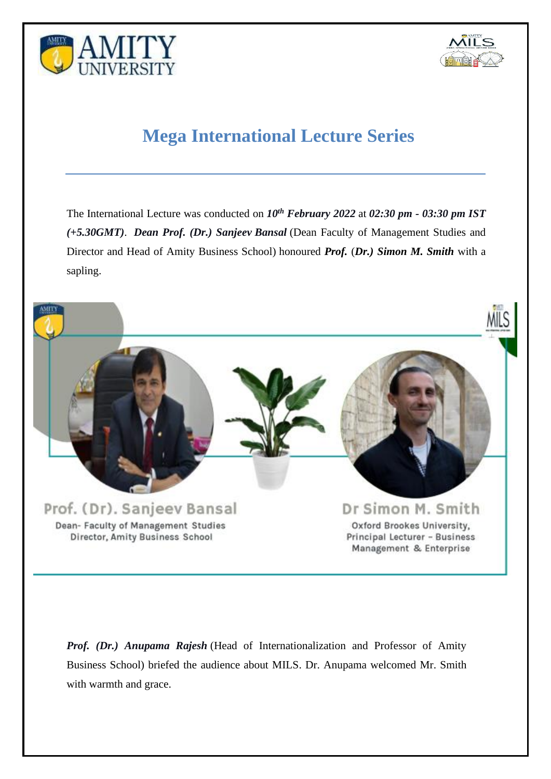



# **Mega International Lecture Series**

The International Lecture was conducted on *10 th February 2022* at *02:30 pm - 03:30 pm IST (+5.30GMT)*. *Dean Prof. (Dr.) Sanjeev Bansal* (Dean Faculty of Management Studies and Director and Head of Amity Business School) honoured *Prof.* (*Dr.) Simon M. Smith* with a sapling.



*Prof. (Dr.) Anupama Rajesh* (Head of Internationalization and Professor of Amity Business School) briefed the audience about MILS. Dr. Anupama welcomed Mr. Smith with warmth and grace.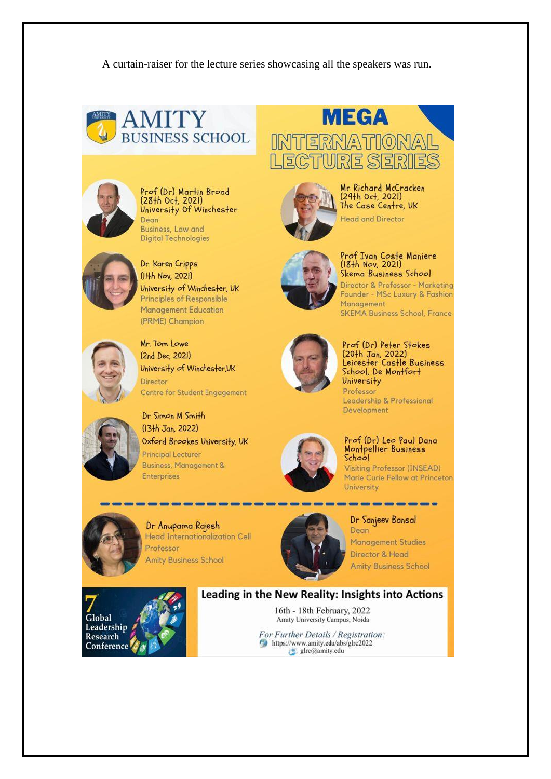A curtain-raiser for the lecture series showcasing all the speakers was run.





Prof (Dr) Martin Broad (28th Oct, 2021) University Of Winchester Dean Business, Law and

**Digital Technologies** 



## Dr. Karen Cripps (IHh Nov, 2021) University of Winchester, UK **Principles of Responsible** Management Education (PRME) Champion



# Mr. Tom Lowe (2nd Dec, 2021) University of Winchester, UK Director **Centre for Student Engagement**

Dr Simon M Smith (13th Jan, 2022) Oxford Brookes University, UK **Principal Lecturer Business, Management &** Enterprises









Prof Ivan Coste Maniere<br>(18th Nov, 2021) Skema Business School Director & Professor - Marketing Founder - MSc Luxury & Fashion Management **SKEMA Business School, France** 



# Prof (Dr) Peter Stokes  $(20+h \text{ Jan}, 2022)$ Leicester Castle Business<br>School, De Montfort **University**

Professor Leadership & Professional Development

## Prof (Dr) Leo Paul Dana Montpellier Business School

--------------

**Visiting Professor (INSEAD)** Marie Curie Fellow at Princeton **University** 



Dr Anupama Rajesh Head Internationalization Cell Professor **Amity Business School** 



#### Dr Sanjeev Bansal Dean

**Management Studies** Director & Head **Amity Business School** 



# Leading in the New Reality: Insights into Actions 16th - 18th February, 2022

Amity University Campus, Noida For Further Details / Registration:

https://www.amity.edu/abs/glrc2022 glrc@amity.edu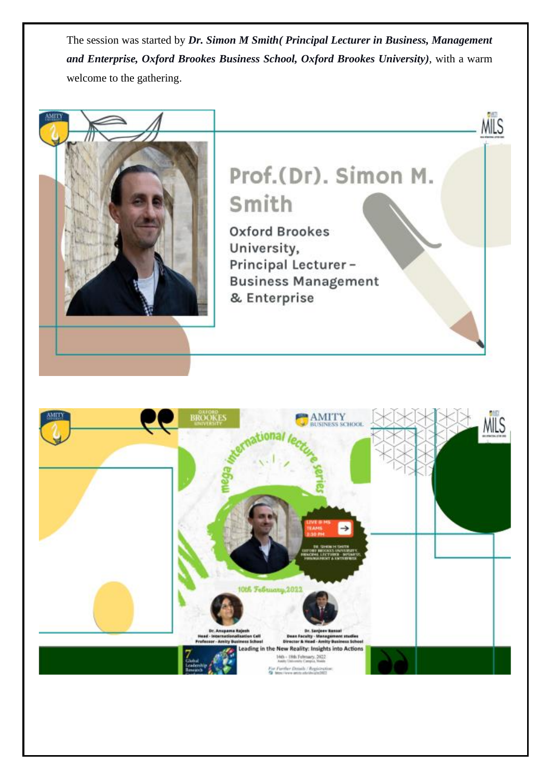The session was started by *Dr. Simon M Smith( Principal Lecturer in Business, Management and Enterprise, Oxford Brookes Business School, Oxford Brookes University)*, with a warm welcome to the gathering.



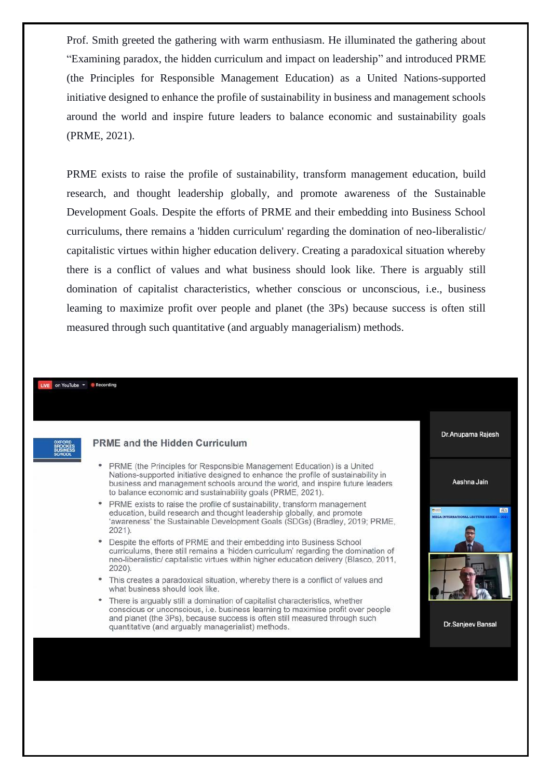Prof. Smith greeted the gathering with warm enthusiasm. He illuminated the gathering about "Examining paradox, the hidden curriculum and impact on leadership" and introduced PRME (the Principles for Responsible Management Education) as a United Nations-supported initiative designed to enhance the profile of sustainability in business and management schools around the world and inspire future leaders to balance economic and sustainability goals (PRME, 2021).

PRME exists to raise the profile of sustainability, transform management education, build research, and thought leadership globally, and promote awareness of the Sustainable Development Goals. Despite the efforts of PRME and their embedding into Business School curriculums, there remains a 'hidden curriculum' regarding the domination of neo-liberalistic/ capitalistic virtues within higher education delivery. Creating a paradoxical situation whereby there is a conflict of values and what business should look like. There is arguably still domination of capitalist characteristics, whether conscious or unconscious, i.e., business learning to maximize profit over people and planet (the 3Ps) because success is often still measured through such quantitative (and arguably managerialism) methods.

#### on YouTube - Recording



#### **PRME and the Hidden Curriculum**

- PRME (the Principles for Responsible Management Education) is a United Nations-supported initiative designed to enhance the profile of sustainability in business and management schools around the world, and inspire future leaders to balance economic and sustainability goals (PRME, 2021).
- PRME exists to raise the profile of sustainability, transform management education, build research and thought leadership globally, and promote 'awareness' the Sustainable Development Goals (SDGs) (Bradley, 2019; PRME,  $2021$ ).
- Despite the efforts of PRME and their embedding into Business School curriculums, there still remains a 'hidden curriculum' regarding the domination of neo-liberalistic/ capitalistic virtues within higher education delivery (Blasco, 2011, 2020).
- This creates a paradoxical situation, whereby there is a conflict of values and what business should look like.
- There is arguably still a domination of capitalist characteristics, whether conscious or unconscious, i.e. business learning to maximise profit over people and planet (the 3Ps), because success is often still measured through such quantitative (and arguably managerialist) methods.



**Dr.Sanjeev Bansal**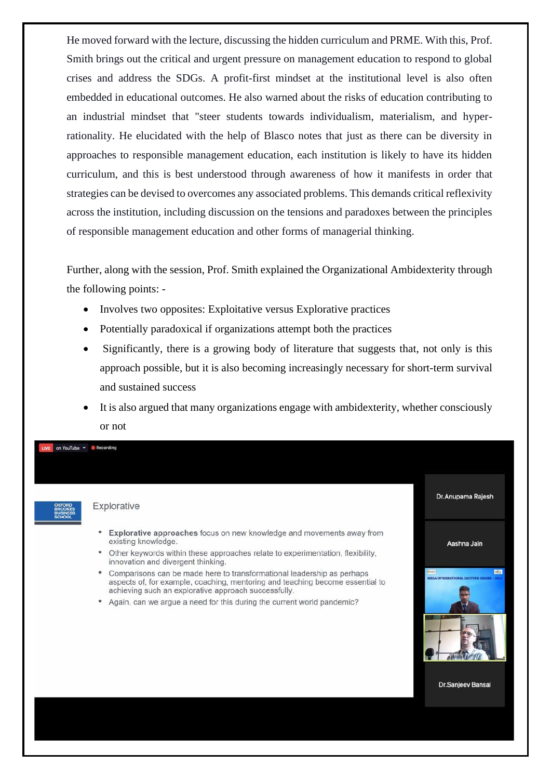He moved forward with the lecture, discussing the hidden curriculum and PRME. With this, Prof. Smith brings out the critical and urgent pressure on management education to respond to global crises and address the SDGs. A profit-first mindset at the institutional level is also often embedded in educational outcomes. He also warned about the risks of education contributing to an industrial mindset that "steer students towards individualism, materialism, and hyperrationality. He elucidated with the help of Blasco notes that just as there can be diversity in approaches to responsible management education, each institution is likely to have its hidden curriculum, and this is best understood through awareness of how it manifests in order that strategies can be devised to overcomes any associated problems. This demands critical reflexivity across the institution, including discussion on the tensions and paradoxes between the principles of responsible management education and other forms of managerial thinking.

Further, along with the session, Prof. Smith explained the Organizational Ambidexterity through the following points: -

- Involves two opposites: Exploitative versus Explorative practices
- Potentially paradoxical if organizations attempt both the practices
- Significantly, there is a growing body of literature that suggests that, not only is this approach possible, but it is also becoming increasingly necessary for short-term survival and sustained success
- It is also argued that many organizations engage with ambidexterity, whether consciously or not

on YouTube - Recording Dr.Anupama Rajesh Explorative • Explorative approaches focus on new knowledge and movements away from existing knowledge. Aashna Jain • Other keywords within these approaches relate to experimentation, flexibility,

- innovation and divergent thinking. • Comparisons can be made here to transformational leadership as perhaps aspects of, for example, coaching, mentoring and teaching become essential to
- achieving such an explorative approach successfully. • Again, can we argue a need for this during the current world pandemic?



**Dr.Sanjeev Bansal**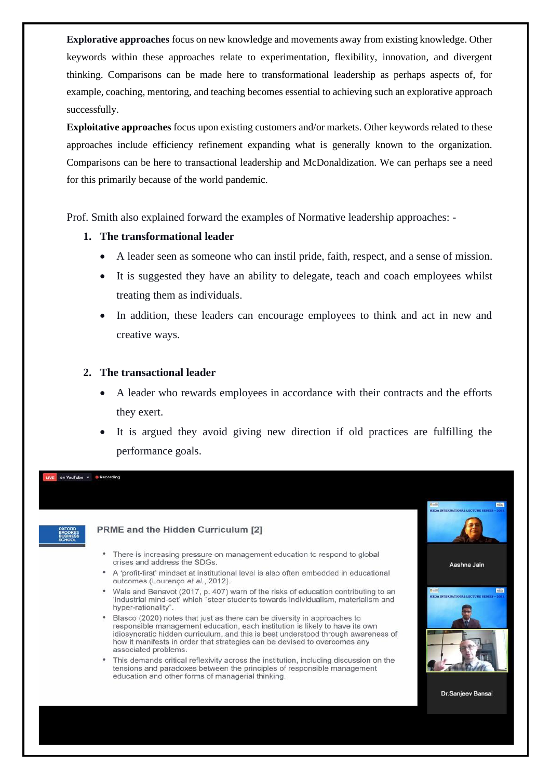**Explorative approaches** focus on new knowledge and movements away from existing knowledge. Other keywords within these approaches relate to experimentation, flexibility, innovation, and divergent thinking. Comparisons can be made here to transformational leadership as perhaps aspects of, for example, coaching, mentoring, and teaching becomes essential to achieving such an explorative approach successfully.

**Exploitative approaches** focus upon existing customers and/or markets. Other keywords related to these approaches include efficiency refinement expanding what is generally known to the organization. Comparisons can be here to transactional leadership and McDonaldization. We can perhaps see a need for this primarily because of the world pandemic.

Prof. Smith also explained forward the examples of Normative leadership approaches: -

# **1. The transformational leader**

- A leader seen as someone who can instil pride, faith, respect, and a sense of mission.
- It is suggested they have an ability to delegate, teach and coach employees whilst treating them as individuals.
- In addition, these leaders can encourage employees to think and act in new and creative ways.

# **2. The transactional leader**

- A leader who rewards employees in accordance with their contracts and the efforts they exert.
- It is argued they avoid giving new direction if old practices are fulfilling the performance goals.



on YouTube - C Recording

# PRME and the Hidden Curriculum [2]

- There is increasing pressure on management education to respond to global crises and address the SDGs.
- A 'profit-first' mindset at institutional level is also often embedded in educational outcomes (Lourenço et al., 2012).
- Wals and Benavot (2017, p. 407) warn of the risks of education contributing to an 'industrial mind-set' which "steer students towards individualism, materialism and hyper-rationality"
- Blasco (2020) notes that just as there can be diversity in approaches to responsible management education, each institution is likely to have its own idiosyncratic hidden curriculum, and this is best understood through awareness of how it manifests in order that strategies can be devised to overcomes any associated problems.
- This demands critical reflexivity across the institution, including discussion on the tensions and paradoxes between the principles of responsible management education and other forms of managerial thinking.

Dr.Sanjeev Bansal

Aashna Jain

MG

**MAG**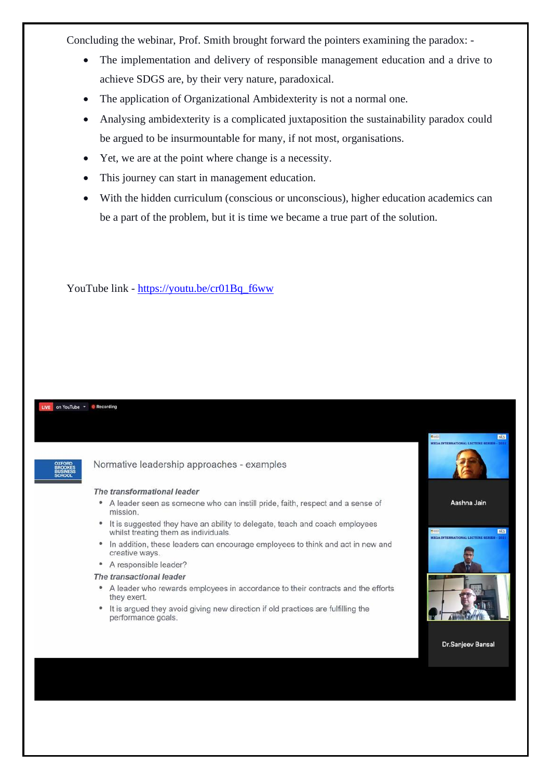Concluding the webinar, Prof. Smith brought forward the pointers examining the paradox: -

- The implementation and delivery of responsible management education and a drive to achieve SDGS are, by their very nature, paradoxical.
- The application of Organizational Ambidexterity is not a normal one.
- Analysing ambidexterity is a complicated juxtaposition the sustainability paradox could be argued to be insurmountable for many, if not most, organisations.
- Yet, we are at the point where change is a necessity.
- This journey can start in management education.
- With the hidden curriculum (conscious or unconscious), higher education academics can be a part of the problem, but it is time we became a true part of the solution.

YouTube link - [https://youtu.be/cr01Bq\\_f6ww](https://youtu.be/cr01Bq_f6ww)

#### on YouTube - Recording

| <b>OXFORD</b><br><b>BROOKES</b>  |
|----------------------------------|
| <b>BUSINESS</b><br><b>SCHOOL</b> |

#### Normative leadership approaches - examples

#### The transformational leader

- A leader seen as someone who can instill pride, faith, respect and a sense of mission.
- It is suggested they have an ability to delegate, teach and coach employees whilst treating them as individuals.
- In addition, these leaders can encourage employees to think and act in new and creative ways.
- A responsible leader?

#### The transactional leader

- A leader who rewards employees in accordance to their contracts and the efforts they exert.
- It is argued they avoid giving new direction if old practices are fulfilling the performance goals.



MLS



**Dr.Sanjeev Bansal**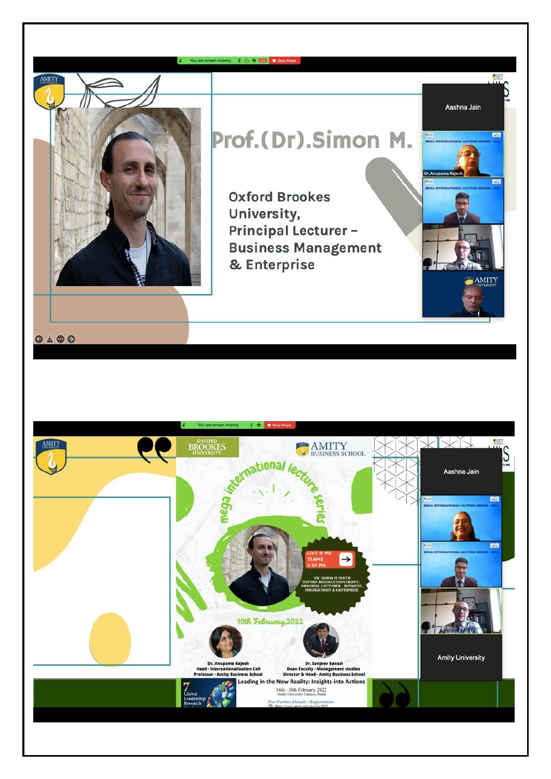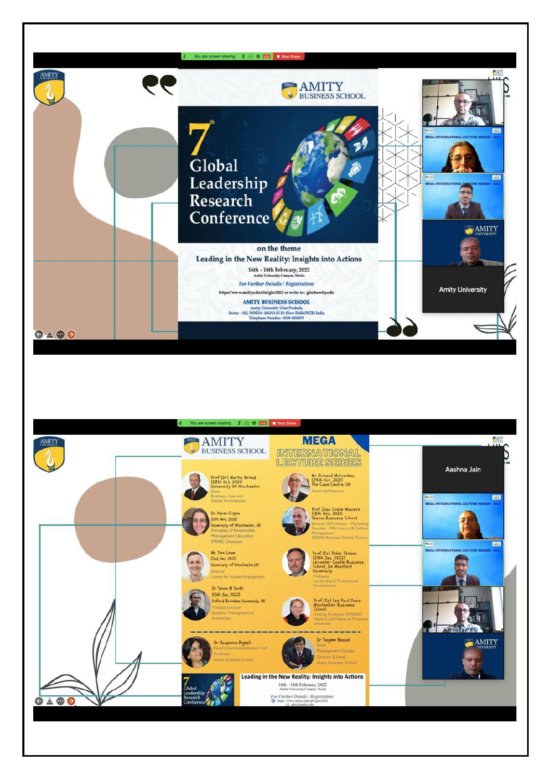